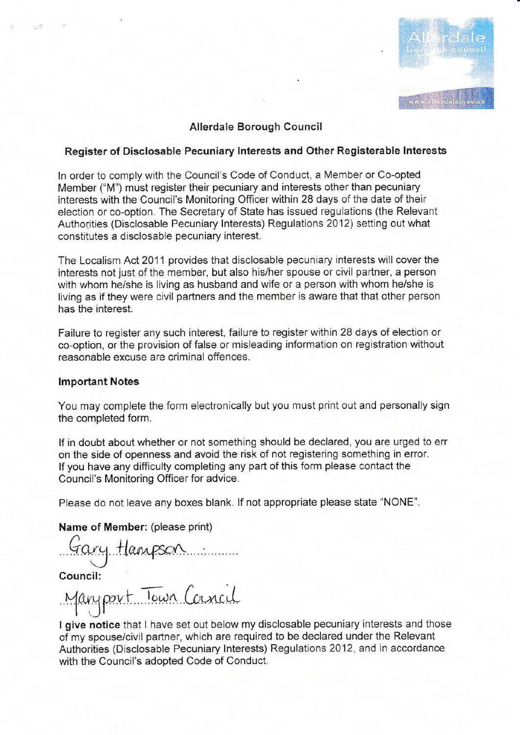

## Allerdale Borough Council

## Register of Disclosable Pecuniary lnterests and Other Registerable lnterests

In order to comply with the Council's Code of Conduct, a Member or Co-opted Member ("M") must register their pecuniary and interests other than pecuniary interests with the Council's Monitoring Officer within 28 days of the date of their election or co-option. The Secretary of State has issued regulations (the Relevant Authorities (Disclosable Pecuniary lnterests) Regulations 2012) setting out what constitutes a disclosabie pecuniary interest.

The Locaiism Act 2011 provides that disclosable pecuniary interests will cover the interests not just of the member, but also his/her spouse or civil partner, a person with whom he/she is living as husband and wife or a person with whom he/she is living as if they were civil partners and the member is aware that that other person has the interest.

Failure to register any such interest, failure to register within 28 days of election or co-option, or the provision of false or misleading information on registration without reasonable excuse are criminal offences.

### **Important Notes**

You may complete the form electronically but you must print out and personally sign the completed form.

lf in doubt about whether or not something should be declared, you are urged to err on the side of openness and avoid the risk of not registering something in error. If you have any difficulty completing any part of this form please contact the Council's Monitoring Officer for advice.

Please do not leave any boxes blank. lf not appropriate please state "NONE".

Name of Member: (please print)

Council:

 $\int \frac{\alpha}{3}$ Town Carnal

I give notice that I have set out below my disclosable pecuniary interests and those of my spouse/civil partner, which are required to be declared under the Relevant Authorities (Disclosable Pecuniary lnterests) Regulations 2012, and in accordance with the Council's adopted Code of Conduct.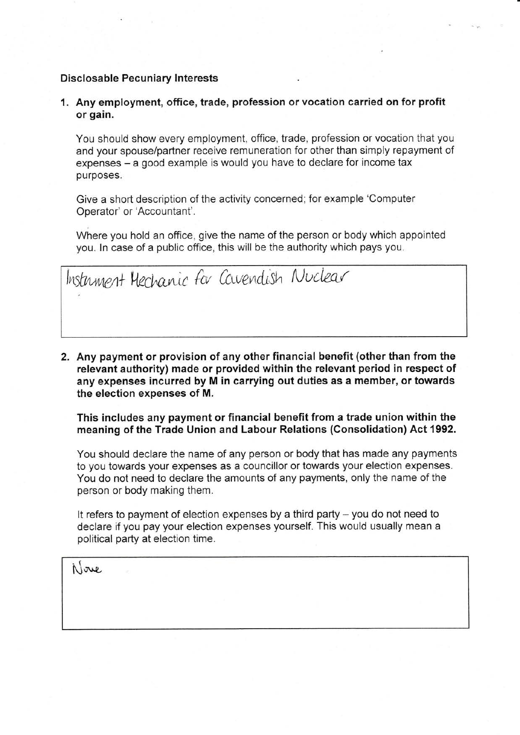## Disclosable Pecuniary lnterests

1. Any employment, office, trade, profession orvocation carried on for profit or gain.

You should show every employment, office, trade. profession or vocation that you and your spouse/partner receive remuneration for other than simply repayment of expenses – a good example is would you have to declare for income tax purposes.

Give a short description of the activity concerned; for example 'Computer Operator' or'Accountant'.

Where you hold an office, give the name of the person or body which appointed you. ln case of a public office, this will be the authority which pays you.

Instrument Mechanic for Covendish Nuclear

2. Any payment or provision of any other financial benefit (other than from the relevant authority) made or provided within the relevant period in respect of any expenses ineurred by M in carrying out duties as a member, or towards the election expenses of M.

This includes any payment or financial benefit from a trade union within the meaning of the Trade Union and Labour Relations (Consolidation) Act 1992.

You should declare the name of any person or body that has made any payments to you towards your expenses as a councillor or towards your election expenses. You do not need to declare the amounts of any payments, only the name of the person or body making them.

It refers to payment of election expenses by a third party  $-$  you do not need to declare if you pay your election expenses yourself. This would usually mean a political party at election time.

 $\hbar$ ove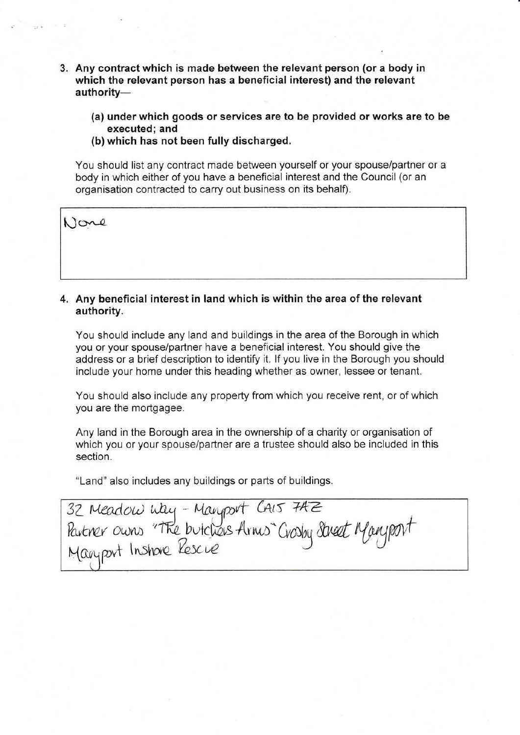- 3. Any contract which is made between the relevant person (or a body in which the relevant person has a beneficial interest) and the relevant authority-
	- (a) under which goods or services are to be provided or works are to be executed; and
	- (b) which has not been fully discharged.

You should list any contract made between yourself or your spouse/partner or a body in which either of you have a beneficial interest and the Council (or an organisation contracted to carry out business on its behalf).

None

# 4. Any beneficial interest in land which is within the area of the relevant authority.

You should include any land and buildings in the area of the Borough in which you or your spouse/partner have a beneficial interest. You should give the address or a brief description to identify it. If you live in the Borough you should include your home under this heading whether as owner, lessee or tenant.

You should also include any property from which you receive rent, or of which you are the mortgagee.

Any land in the Borough area in the ownership of a charity or organisation of which you or your spouse/partner are a trustee should also be included in this section.

"Land" also includes any buildings or parts of buildings.

32 Meadow Way - Manport Cars 742<br>Partner owns "The butchers Arms" Grosby Street Manyport<br>Manport Instrone Rescue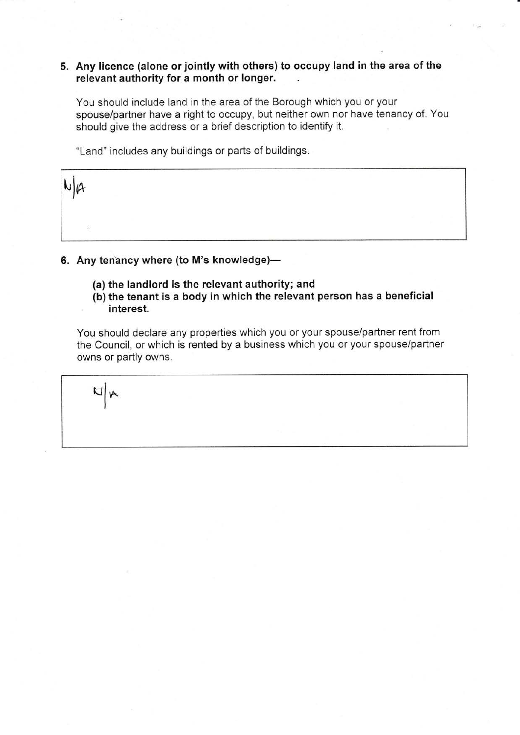## 5. Any licence (alone or jointly with others) to occupy land in the area of the relevant authority for a month or longer.

You should include land in the area of the Borough which you or your spouse/partner have a right to occupy, but neither own nor have tenancy of. You should give the address or a brief description to identify it.

"Land" includes any buildings or parts of buildings.

$$
\frac{1}{4}
$$

#### 6. Any tenancy where (to M's knowledge)-

- (a) the landlord is the relevant authority; and
- (b) the tenant is a body in which the relevant person has a beneficial interest.

You should declare any properties which you or your spouse/partner rent from the Council, or which is rented by a business which you or your spouse/partner owns or partly owns.

 $\frac{1}{\sqrt{2}}$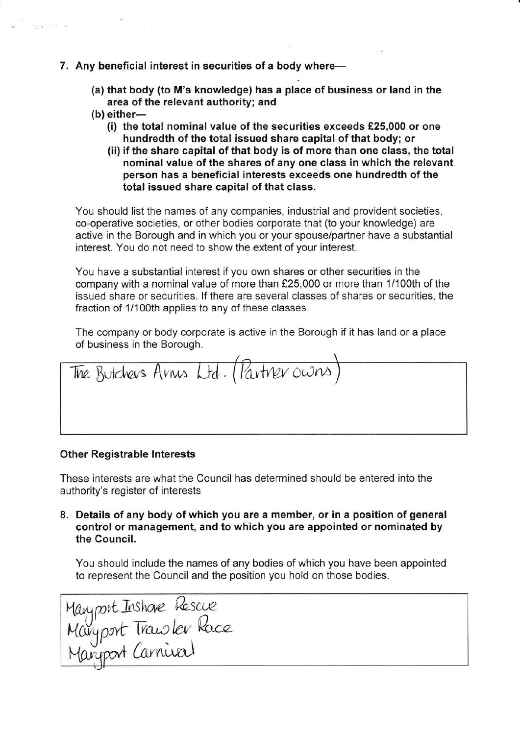### 7. Any beneficial interest in securities of a body where-

- (a) that body (to M's knowledge) has a place of business or land in the area of the relevant authority; and
- $(b)$  either-
	- (i) the total nominal value of the securities exceeds  $£25,000$  or one hundredth of the total issued share capital of that body; or
	- (ii) if the share capital of that body is of more than one class, the total nominal value of the shares of any one class in which the relevant person has a beneficial interests exceeds one hundredth of the total issued share capital of that class.

You should list the names of any companies, industrial and provident societies, co-operative societies, or other bodies corporate that (to your knowledge) are active in the Borough and in which you or your spouse/partner have a substantial interest. You do not need to show the extent of your interest.

You have a substantial interest if you own shares or other securities in the company with a nominal value of more than f25,000 or more than 1/100th of the issued share or securities. lf there are several classes of shares or securities, the fraction of 1/100th applies to any of these classes.

The company or body corporate is active in the Borough if it has land or a place of business in the Borough.



### Other Registrable lnterests

These interests are what the Council has determined should be entered into the authority's register of interests

8. Details of any body of which you are a member, or in a position of general control or management, and to which you are appointed or nominated by the Council.

You should include the names of any bodies of which you have been appointed to represeht the Council and the position you hold on those bodies.

Manyport Inshare Kescue Maryport Trawler Kace Maryport Carnival